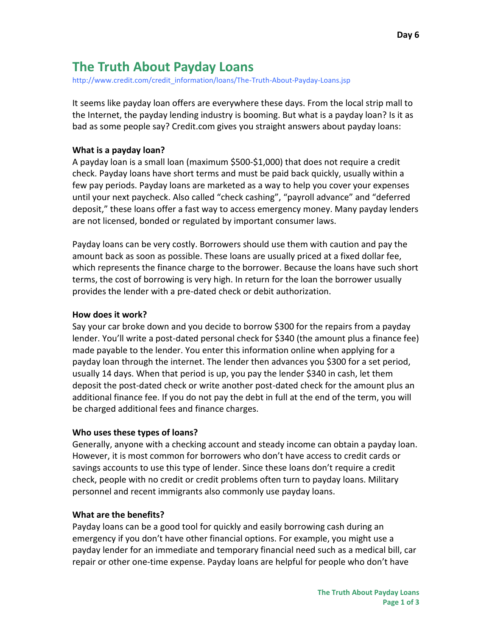# **The Truth About Payday Loans**

[http://www.credit.com/credit\\_information/loans/The-Truth-About-Payday-Loans.jsp](http://www.credit.com/credit_information/loans/The-Truth-About-Payday-Loans.jsp)

It seems like payday loan offers are everywhere these days. From the local strip mall to the Internet, the payday lending industry is booming. But what is a payday loan? Is it as bad as some people say? Credit.com gives you straight answers about payday loans:

## **What is a payday loan?**

A payday loan is a small loan (maximum \$500-\$1,000) that does not require a credit check. Payday loans have short terms and must be paid back quickly, usually within a few pay periods. Payday loans are marketed as a way to help you cover your expenses until your next paycheck. Also called "check cashing", "payroll advance" and "deferred deposit," these loans offer a fast way to access emergency money. Many payday lenders are not licensed, bonded or regulated by important consumer laws.

Payday loans can be very costly. Borrowers should use them with caution and pay the amount back as soon as possible. These loans are usually priced at a fixed dollar fee, which represents the finance charge to the borrower. Because the loans have such short terms, the cost of borrowing is very high. In return for the loan the borrower usually provides the lender with a pre-dated check or debit authorization.

## **How does it work?**

Say your car broke down and you decide to borrow \$300 for the repairs from a payday lender. You'll write a post-dated personal check for \$340 (the amount plus a finance fee) made payable to the lender. You enter this information online when applying for a payday loan through the internet. The lender then advances you \$300 for a set period, usually 14 days. When that period is up, you pay the lender \$340 in cash, let them deposit the post-dated check or write another post-dated check for the amount plus an additional finance fee. If you do not pay the debt in full at the end of the term, you will be charged additional fees and finance charges.

# **Who uses these types of loans?**

Generally, anyone with a checking account and steady income can obtain a payday loan. However, it is most common for borrowers who don't have access to credit cards or savings accounts to use this type of lender. Since these loans don't require a credit check, people with no credit or credit problems often turn to payday loans. Military personnel and recent immigrants also commonly use payday loans.

# **What are the benefits?**

Payday loans can be a good tool for quickly and easily borrowing cash during an emergency if you don't have other financial options. For example, you might use a payday lender for an immediate and temporary financial need such as a medical bill, car repair or other one-time expense. Payday loans are helpful for people who don't have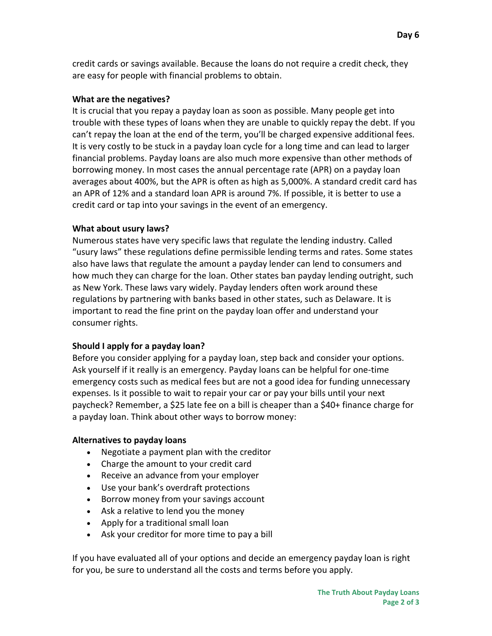credit cards or savings available. Because the loans do not require a credit check, they are easy for people with financial problems to obtain.

## **What are the negatives?**

It is crucial that you repay a payday loan as soon as possible. Many people get into trouble with these types of loans when they are unable to quickly repay the debt. If you can't repay the loan at the end of the term, you'll be charged expensive additional fees. It is very costly to be stuck in a payday loan cycle for a long time and can lead to larger financial problems. Payday loans are also much more expensive than other methods of borrowing money. In most cases the annual percentage rate (APR) on a payday loan averages about 400%, but the APR is often as high as 5,000%. A standard credit card has an APR of 12% and a standard loan APR is around 7%. If possible, it is better to use a credit card or tap into your savings in the event of an emergency.

## **What about usury laws?**

Numerous states have very specific laws that regulate the lending industry. Called "usury laws" these regulations define permissible lending terms and rates. Some states also have laws that regulate the amount a payday lender can lend to consumers and how much they can charge for the loan. Other states ban payday lending outright, such as New York. These laws vary widely. Payday lenders often work around these regulations by partnering with banks based in other states, such as Delaware. It is important to read the fine print on the payday loan offer and understand your consumer rights.

## **Should I apply for a payday loan?**

Before you consider applying for a payday loan, step back and consider your options. Ask yourself if it really is an emergency. Payday loans can be helpful for one-time emergency costs such as medical fees but are not a good idea for funding unnecessary expenses. Is it possible to wait to repair your car or pay your bills until your next paycheck? Remember, a \$25 late fee on a bill is cheaper than a \$40+ finance charge for a payday loan. Think about other ways to borrow money:

## **Alternatives to payday loans**

- Negotiate a payment plan with the creditor
- Charge the amount to your credit card
- Receive an advance from your employer
- Use your bank's overdraft protections
- Borrow money from your savings account
- Ask a relative to lend you the money
- Apply for a traditional small loan
- Ask your creditor for more time to pay a bill

If you have evaluated all of your options and decide an emergency payday loan is right for you, be sure to understand all the costs and terms before you apply.